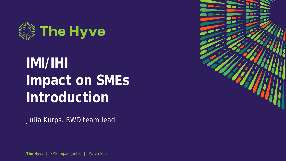

## **IMI/IHI Impact on SMEs Introduction**

Julia Kurps, RWD team lead



**The Hyve** | SME impact\_intro | March 2022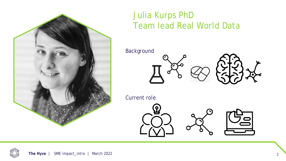

#### Julia Kurps PhD Team lead Real World Data



Current role







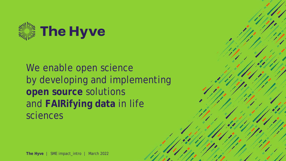

We enable open science by developing and implementing **open source** solutions and **FAIRifying data** in life sciences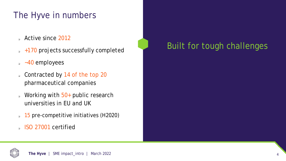### The Hyve in numbers

- ❏ Active since 2012
- $\frac{1}{2}$  +170 projects successfully completed
- $\sim$  -40 employees
- ❏ Contracted by 14 of the top 20 pharmaceutical companies
- $\sim$  Working with  $50+$  public research universities in EU and UK
- ❏ 15 pre-competitive initiatives (H2020)
- ❏ ISO 27001 certified

### Built for tough challenges

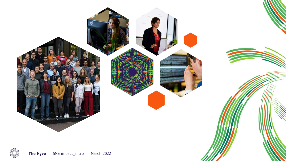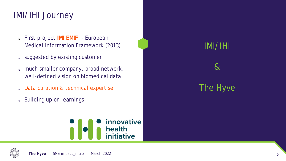#### IMI/IHI Journey

- ❏ First project **IMI EMIF**  European Medical Information Framework (2013)
- ❏ suggested by existing customer
- ❏ much smaller company, broad network, well-defined vision on biomedical data
- ❏ Data curation & technical expertise
- ❏ Building up on learnings

IMI/IHI & The Hyve



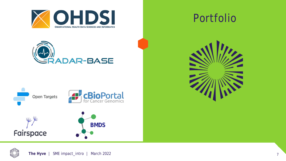





### Portfolio

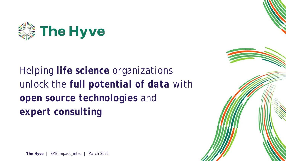

*Helping life science organizations unlock the full potential of data with open source technologies and expert consulting*



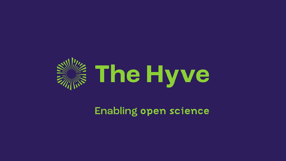

**Enabling open science**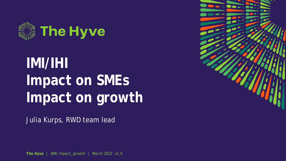

# **IMI/IHI Impact on SMEs Impact on growth**

Julia Kurps, RWD team lead



**The Hyve** | SME impact\_growth | March 2022 v1.0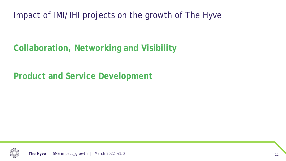Impact of IMI/IHI projects on the growth of The Hyve

**Collaboration, Networking and Visibility**

**Product and Service Development** 

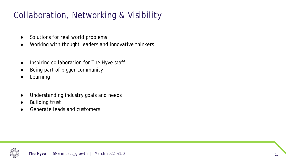#### Collaboration, Networking & Visibility

- Solutions for real world problems
- Working with thought leaders and innovative thinkers
- Inspiring collaboration for The Hyve staff
- Being part of bigger community
- Learning
- Understanding industry goals and needs
- **Building trust**
- Generate leads and customers

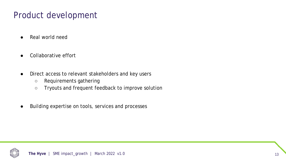#### Product development

- Real world need
- Collaborative effort
- Direct access to relevant stakeholders and key users
	- Requirements gathering
	- Tryouts and frequent feedback to improve solution
- Building expertise on tools, services and processes

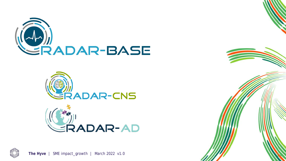







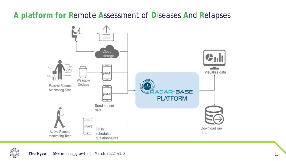#### A platform for Remote Assessment of Diseases And Relapses



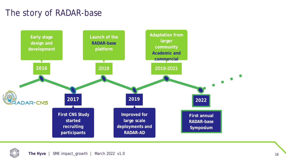#### The story of RADAR-base



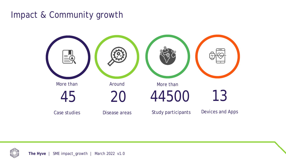#### Impact & Community growth



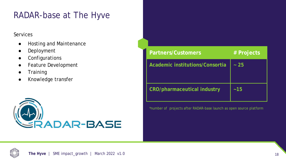#### RADAR-base at The Hyve

#### **Services**

- Hosting and Maintenance
- Deployment
- Configurations
- Feature Development
- Training
- Knowledge transfer



| <b>Partners/Customers</b>              | # Projects |
|----------------------------------------|------------|
| <b>Academic institutions/Consortia</b> | ~125       |
| <b>CRO/pharmaceutical industry</b>     | ~15        |

\*number of projects after RADAR-base launch as open source platform